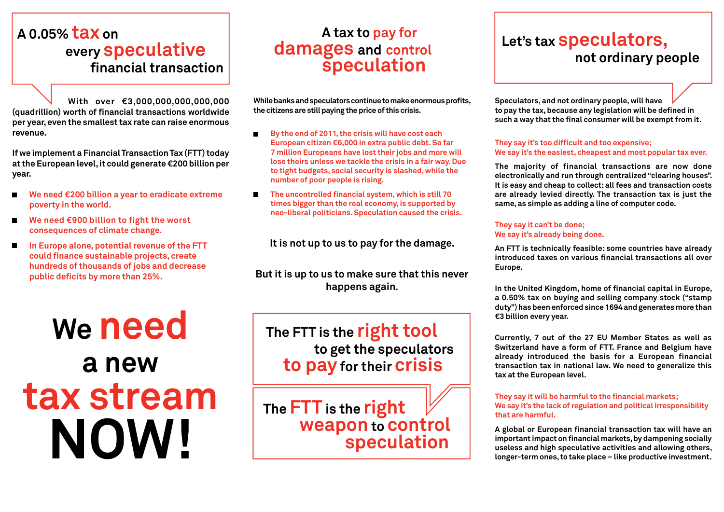## **A 0.05% tax on every speculative financial transaction**

**With over €3,000,000,000,000,000 (quadrillion) worth of financial transactions worldwide per year, even the smallest tax rate can raise enormous revenue.**

**If we implement a Financial Transaction Tax (FTT) today at the European level, it could generate €200 billion per year.**

- **We need €200 billion a year to eradicate extreme**   $\blacksquare$ **poverty in the world.**
- $\blacksquare$ **We need €900 billion to fight the worst consequences of climate change.**
- **In Europe alone, potential revenue of the FTT could finance sustainable projects, create hundreds of thousands of jobs and decrease public deficits by more than 25%.**

**We need a new tax stream NOW!**

### **A tax to pay for damages and control speculation**

**While banks and speculators continue to make enormous profits, the citizens are still paying the price of this crisis.**

- $\blacksquare$ **By the end of 2011, the crisis will have cost each European citizen €6,000 in extra public debt. So far 7 million Europeans have lost their jobs and more will lose theirs unless we tackle the crisis in a fair way. Due to tight budgets, social security is slashed, while the number of poor people is rising.**
- $\blacksquare$ **The uncontrolled financial system, which is still 70 times bigger than the real economy, is supported by neo-liberal politicians. Speculation caused the crisis.**

**It is not up to us to pay for the damage.**

**But it is up to us to make sure that this never happens again**.

**The FTT is the right tool to get the speculators to pay for their crisis**

**The FTT is the right weapon to control speculation**

## **Let's tax speculators, not ordinary people**

**Speculators, and not ordinary people, will have to pay the tax, because any legislation will be defined in such a way that the final consumer will be exempt from it.** 

#### **They say it's too difficult and too expensive; We say it's the easiest, cheapest and most popular tax ever.**

**The majority of financial transactions are now done electronically and run through centralized "clearing houses". It is easy and cheap to collect: all fees and transaction costs are already levied directly. The transaction tax is just the same, as simple as adding a line of computer code.**

#### **They say it can't be done; We say it's already being done.**

**An FTT is technically feasible: some countries have already introduced taxes on various financial transactions all over Europe.**

**In the United Kingdom, home of financial capital in Europe, a 0.50% tax on buying and selling company stock ("stamp duty") has been enforced since 1694 and generates more than €3 billion every year.**

**Currently, 7 out of the 27 EU Member States as well as Switzerland have a form of FTT. France and Belgium have already introduced the basis for a European financial transaction tax in national law. We need to generalize this tax at the European level.**

#### **They say it will be harmful to the financial markets; We say it's the lack of regulation and political irresponsibility that are harmful.**

**A global or European financial transaction tax will have an important impact on financial markets, by dampening socially useless and high speculative activities and allowing others, longer-term ones, to take place – like productive investment.**